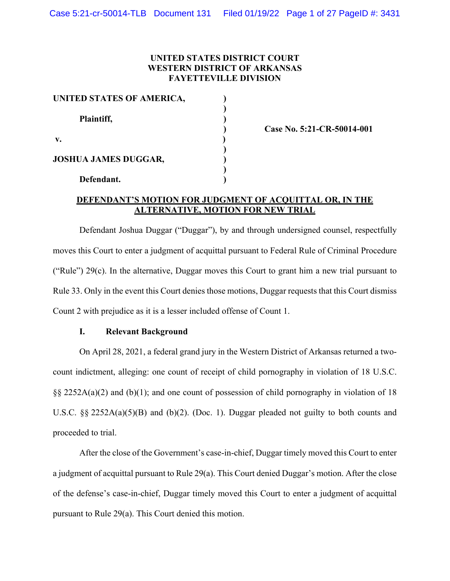### **UNITED STATES DISTRICT COURT WESTERN DISTRICT OF ARKANSAS FAYETTEVILLE DIVISION**

| UNITED STATES OF AMERICA,   |  |
|-----------------------------|--|
| Plaintiff,                  |  |
| $\mathbf{v}$ .              |  |
| <b>JOSHUA JAMES DUGGAR,</b> |  |
| Defendant.                  |  |

**) Case No. 5:21-CR-50014-001**

### **DEFENDANT'S MOTION FOR JUDGMENT OF ACQUITTAL OR, IN THE ALTERNATIVE, MOTION FOR NEW TRIAL**

Defendant Joshua Duggar ("Duggar"), by and through undersigned counsel, respectfully moves this Court to enter a judgment of acquittal pursuant to Federal Rule of Criminal Procedure ("Rule") 29(c). In the alternative, Duggar moves this Court to grant him a new trial pursuant to Rule 33. Only in the event this Court denies those motions, Duggar requests that this Court dismiss Count 2 with prejudice as it is a lesser included offense of Count 1.

# **I. Relevant Background**

On April 28, 2021, a federal grand jury in the Western District of Arkansas returned a twocount indictment, alleging: one count of receipt of child pornography in violation of 18 U.S.C.  $\S$ § 2252A(a)(2) and (b)(1); and one count of possession of child pornography in violation of 18 U.S.C. §§ 2252A(a)(5)(B) and (b)(2). (Doc. 1). Duggar pleaded not guilty to both counts and proceeded to trial.

After the close of the Government's case-in-chief, Duggar timely moved this Court to enter a judgment of acquittal pursuant to Rule 29(a). This Court denied Duggar's motion. After the close of the defense's case-in-chief, Duggar timely moved this Court to enter a judgment of acquittal pursuant to Rule 29(a). This Court denied this motion.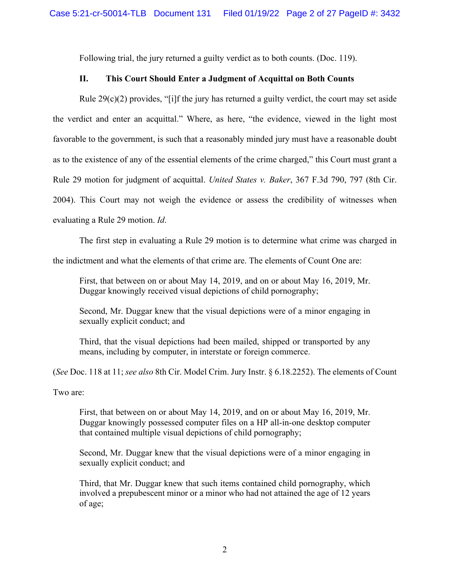Following trial, the jury returned a guilty verdict as to both counts. (Doc. 119).

## **II. This Court Should Enter a Judgment of Acquittal on Both Counts**

Rule  $29(c)(2)$  provides, "[i]f the jury has returned a guilty verdict, the court may set aside the verdict and enter an acquittal." Where, as here, "the evidence, viewed in the light most favorable to the government, is such that a reasonably minded jury must have a reasonable doubt as to the existence of any of the essential elements of the crime charged," this Court must grant a Rule 29 motion for judgment of acquittal. *United States v. Baker*, 367 F.3d 790, 797 (8th Cir. 2004). This Court may not weigh the evidence or assess the credibility of witnesses when evaluating a Rule 29 motion. *Id*.

The first step in evaluating a Rule 29 motion is to determine what crime was charged in

the indictment and what the elements of that crime are. The elements of Count One are:

First, that between on or about May 14, 2019, and on or about May 16, 2019, Mr. Duggar knowingly received visual depictions of child pornography;

Second, Mr. Duggar knew that the visual depictions were of a minor engaging in sexually explicit conduct; and

Third, that the visual depictions had been mailed, shipped or transported by any means, including by computer, in interstate or foreign commerce.

(*See* Doc. 118 at 11; *see also* 8th Cir. Model Crim. Jury Instr. § 6.18.2252). The elements of Count

Two are:

First, that between on or about May 14, 2019, and on or about May 16, 2019, Mr. Duggar knowingly possessed computer files on a HP all-in-one desktop computer that contained multiple visual depictions of child pornography;

Second, Mr. Duggar knew that the visual depictions were of a minor engaging in sexually explicit conduct; and

Third, that Mr. Duggar knew that such items contained child pornography, which involved a prepubescent minor or a minor who had not attained the age of 12 years of age;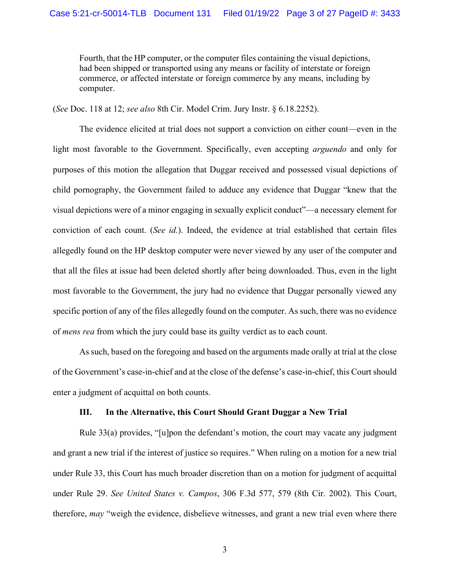Fourth, that the HP computer, or the computer files containing the visual depictions, had been shipped or transported using any means or facility of interstate or foreign commerce, or affected interstate or foreign commerce by any means, including by computer.

(*See* Doc. 118 at 12; *see also* 8th Cir. Model Crim. Jury Instr. § 6.18.2252).

The evidence elicited at trial does not support a conviction on either count—even in the light most favorable to the Government. Specifically, even accepting *arguendo* and only for purposes of this motion the allegation that Duggar received and possessed visual depictions of child pornography, the Government failed to adduce any evidence that Duggar "knew that the visual depictions were of a minor engaging in sexually explicit conduct"—a necessary element for conviction of each count. (*See id.*). Indeed, the evidence at trial established that certain files allegedly found on the HP desktop computer were never viewed by any user of the computer and that all the files at issue had been deleted shortly after being downloaded. Thus, even in the light most favorable to the Government, the jury had no evidence that Duggar personally viewed any specific portion of any of the files allegedly found on the computer. As such, there was no evidence of *mens rea* from which the jury could base its guilty verdict as to each count.

As such, based on the foregoing and based on the arguments made orally at trial at the close of the Government's case-in-chief and at the close of the defense's case-in-chief, this Court should enter a judgment of acquittal on both counts.

#### **III. In the Alternative, this Court Should Grant Duggar a New Trial**

Rule 33(a) provides, "[u]pon the defendant's motion, the court may vacate any judgment and grant a new trial if the interest of justice so requires." When ruling on a motion for a new trial under Rule 33, this Court has much broader discretion than on a motion for judgment of acquittal under Rule 29. *See United States v. Campos*, 306 F.3d 577, 579 (8th Cir. 2002). This Court, therefore, *may* "weigh the evidence, disbelieve witnesses, and grant a new trial even where there

3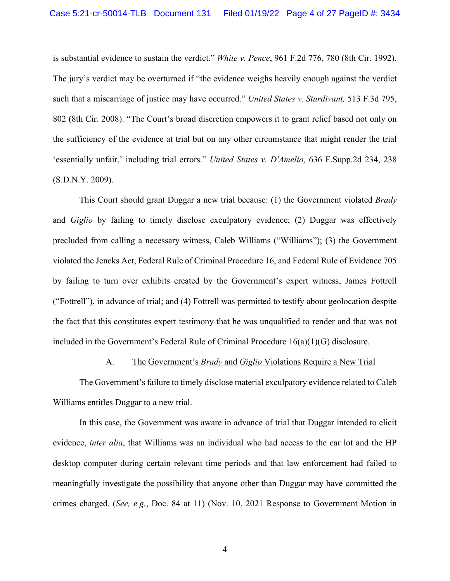is substantial evidence to sustain the verdict." *White v. Pence*, 961 F.2d 776, 780 (8th Cir. 1992). The jury's verdict may be overturned if "the evidence weighs heavily enough against the verdict such that a miscarriage of justice may have occurred." *United States v. Sturdivant,* 513 F.3d 795, 802 (8th Cir. 2008). "The Court's broad discretion empowers it to grant relief based not only on the sufficiency of the evidence at trial but on any other circumstance that might render the trial 'essentially unfair,' including trial errors." *United States v. D'Amelio,* 636 F.Supp.2d 234, 238 (S.D.N.Y. 2009).

This Court should grant Duggar a new trial because: (1) the Government violated *Brady*  and *Giglio* by failing to timely disclose exculpatory evidence; (2) Duggar was effectively precluded from calling a necessary witness, Caleb Williams ("Williams"); (3) the Government violated the Jencks Act, Federal Rule of Criminal Procedure 16, and Federal Rule of Evidence 705 by failing to turn over exhibits created by the Government's expert witness, James Fottrell ("Fottrell"), in advance of trial; and (4) Fottrell was permitted to testify about geolocation despite the fact that this constitutes expert testimony that he was unqualified to render and that was not included in the Government's Federal Rule of Criminal Procedure 16(a)(1)(G) disclosure.

#### A. The Government's *Brady* and *Giglio* Violations Require a New Trial

The Government's failure to timely disclose material exculpatory evidence related to Caleb Williams entitles Duggar to a new trial.

In this case, the Government was aware in advance of trial that Duggar intended to elicit evidence, *inter alia*, that Williams was an individual who had access to the car lot and the HP desktop computer during certain relevant time periods and that law enforcement had failed to meaningfully investigate the possibility that anyone other than Duggar may have committed the crimes charged. (*See, e.g.*, Doc. 84 at 11) (Nov. 10, 2021 Response to Government Motion in

4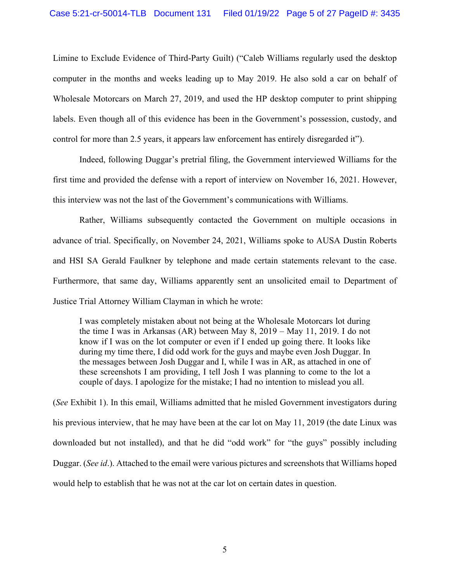Limine to Exclude Evidence of Third-Party Guilt) ("Caleb Williams regularly used the desktop computer in the months and weeks leading up to May 2019. He also sold a car on behalf of Wholesale Motorcars on March 27, 2019, and used the HP desktop computer to print shipping labels. Even though all of this evidence has been in the Government's possession, custody, and control for more than 2.5 years, it appears law enforcement has entirely disregarded it").

Indeed, following Duggar's pretrial filing, the Government interviewed Williams for the first time and provided the defense with a report of interview on November 16, 2021. However, this interview was not the last of the Government's communications with Williams.

Rather, Williams subsequently contacted the Government on multiple occasions in advance of trial. Specifically, on November 24, 2021, Williams spoke to AUSA Dustin Roberts and HSI SA Gerald Faulkner by telephone and made certain statements relevant to the case. Furthermore, that same day, Williams apparently sent an unsolicited email to Department of Justice Trial Attorney William Clayman in which he wrote:

I was completely mistaken about not being at the Wholesale Motorcars lot during the time I was in Arkansas (AR) between May 8, 2019 – May 11, 2019. I do not know if I was on the lot computer or even if I ended up going there. It looks like during my time there, I did odd work for the guys and maybe even Josh Duggar. In the messages between Josh Duggar and I, while I was in AR, as attached in one of these screenshots I am providing, I tell Josh I was planning to come to the lot a couple of days. I apologize for the mistake; I had no intention to mislead you all.

(*See* Exhibit 1). In this email, Williams admitted that he misled Government investigators during his previous interview, that he may have been at the car lot on May 11, 2019 (the date Linux was downloaded but not installed), and that he did "odd work" for "the guys" possibly including Duggar. (*See id*.). Attached to the email were various pictures and screenshots that Williams hoped would help to establish that he was not at the car lot on certain dates in question.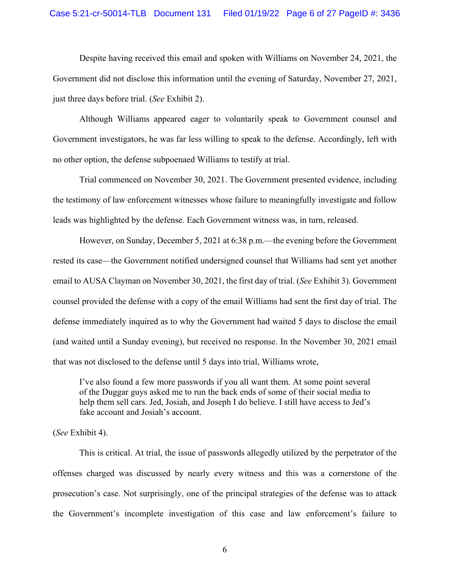Despite having received this email and spoken with Williams on November 24, 2021, the Government did not disclose this information until the evening of Saturday, November 27, 2021, just three days before trial. (*See* Exhibit 2).

Although Williams appeared eager to voluntarily speak to Government counsel and Government investigators, he was far less willing to speak to the defense. Accordingly, left with no other option, the defense subpoenaed Williams to testify at trial.

Trial commenced on November 30, 2021. The Government presented evidence, including the testimony of law enforcement witnesses whose failure to meaningfully investigate and follow leads was highlighted by the defense. Each Government witness was, in turn, released.

However, on Sunday, December 5, 2021 at 6:38 p.m.—the evening before the Government rested its case—the Government notified undersigned counsel that Williams had sent yet another email to AUSA Clayman on November 30, 2021, the first day of trial. (*See* Exhibit 3). Government counsel provided the defense with a copy of the email Williams had sent the first day of trial. The defense immediately inquired as to why the Government had waited 5 days to disclose the email (and waited until a Sunday evening), but received no response. In the November 30, 2021 email that was not disclosed to the defense until 5 days into trial, Williams wrote,

I've also found a few more passwords if you all want them. At some point several of the Duggar guys asked me to run the back ends of some of their social media to help them sell cars. Jed, Josiah, and Joseph I do believe. I still have access to Jed's fake account and Josiah's account.

(*See* Exhibit 4).

This is critical. At trial, the issue of passwords allegedly utilized by the perpetrator of the offenses charged was discussed by nearly every witness and this was a cornerstone of the prosecution's case. Not surprisingly, one of the principal strategies of the defense was to attack the Government's incomplete investigation of this case and law enforcement's failure to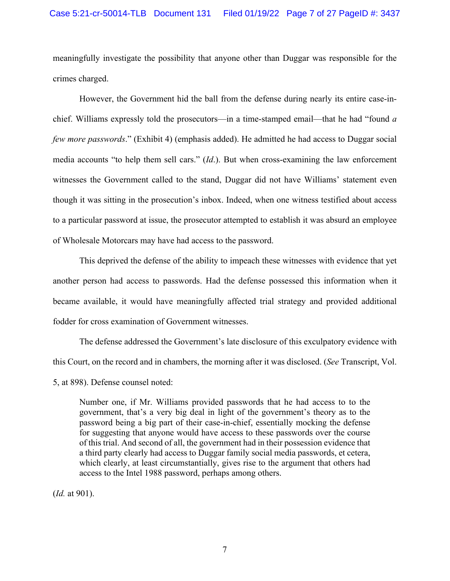meaningfully investigate the possibility that anyone other than Duggar was responsible for the crimes charged.

However, the Government hid the ball from the defense during nearly its entire case-inchief. Williams expressly told the prosecutors—in a time-stamped email—that he had "found *a few more passwords*." (Exhibit 4) (emphasis added). He admitted he had access to Duggar social media accounts "to help them sell cars." (*Id*.). But when cross-examining the law enforcement witnesses the Government called to the stand, Duggar did not have Williams' statement even though it was sitting in the prosecution's inbox. Indeed, when one witness testified about access to a particular password at issue, the prosecutor attempted to establish it was absurd an employee of Wholesale Motorcars may have had access to the password.

This deprived the defense of the ability to impeach these witnesses with evidence that yet another person had access to passwords. Had the defense possessed this information when it became available, it would have meaningfully affected trial strategy and provided additional fodder for cross examination of Government witnesses.

The defense addressed the Government's late disclosure of this exculpatory evidence with this Court, on the record and in chambers, the morning after it was disclosed. (*See* Transcript, Vol. 5, at 898). Defense counsel noted:

Number one, if Mr. Williams provided passwords that he had access to to the government, that's a very big deal in light of the government's theory as to the password being a big part of their case-in-chief, essentially mocking the defense for suggesting that anyone would have access to these passwords over the course of this trial. And second of all, the government had in their possession evidence that a third party clearly had access to Duggar family social media passwords, et cetera, which clearly, at least circumstantially, gives rise to the argument that others had access to the Intel 1988 password, perhaps among others.

(*Id.* at 901).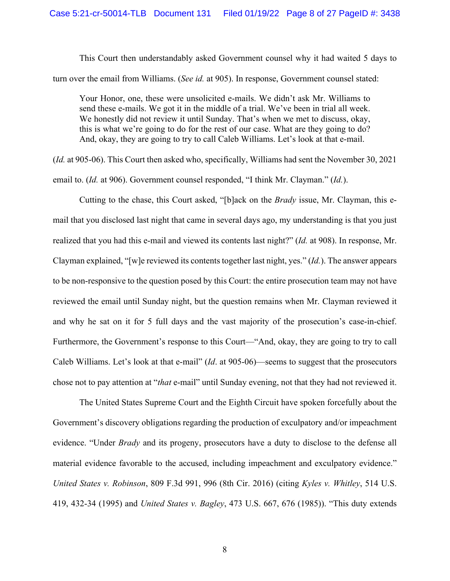This Court then understandably asked Government counsel why it had waited 5 days to turn over the email from Williams. (*See id.* at 905). In response, Government counsel stated:

Your Honor, one, these were unsolicited e-mails. We didn't ask Mr. Williams to send these e-mails. We got it in the middle of a trial. We've been in trial all week. We honestly did not review it until Sunday. That's when we met to discuss, okay, this is what we're going to do for the rest of our case. What are they going to do? And, okay, they are going to try to call Caleb Williams. Let's look at that e-mail.

(*Id.* at 905-06). This Court then asked who, specifically, Williams had sent the November 30, 2021 email to. (*Id.* at 906). Government counsel responded, "I think Mr. Clayman." (*Id.*).

Cutting to the chase, this Court asked, "[b]ack on the *Brady* issue, Mr. Clayman, this email that you disclosed last night that came in several days ago, my understanding is that you just realized that you had this e-mail and viewed its contents last night?" (*Id.* at 908). In response, Mr. Clayman explained, "[w]e reviewed its contents together last night, yes." (*Id.*). The answer appears to be non-responsive to the question posed by this Court: the entire prosecution team may not have reviewed the email until Sunday night, but the question remains when Mr. Clayman reviewed it and why he sat on it for 5 full days and the vast majority of the prosecution's case-in-chief. Furthermore, the Government's response to this Court—"And, okay, they are going to try to call Caleb Williams. Let's look at that e-mail" (*Id*. at 905-06)—seems to suggest that the prosecutors chose not to pay attention at "*that* e-mail" until Sunday evening, not that they had not reviewed it.

The United States Supreme Court and the Eighth Circuit have spoken forcefully about the Government's discovery obligations regarding the production of exculpatory and/or impeachment evidence. "Under *Brady* and its progeny, prosecutors have a duty to disclose to the defense all material evidence favorable to the accused, including impeachment and exculpatory evidence." *United States v. Robinson*, 809 F.3d 991, 996 (8th Cir. 2016) (citing *Kyles v. Whitley*, 514 U.S. 419, 432-34 (1995) and *United States v. Bagley*, 473 U.S. 667, 676 (1985)). "This duty extends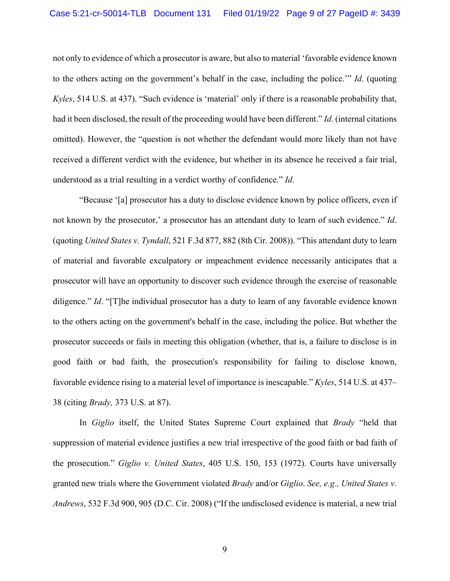not only to evidence of which a prosecutor is aware, but also to material 'favorable evidence known to the others acting on the government's behalf in the case, including the police.'" *Id*. (quoting *Kyles*, 514 U.S. at 437). "Such evidence is 'material' only if there is a reasonable probability that, had it been disclosed, the result of the proceeding would have been different." *Id*. (internal citations omitted). However, the "question is not whether the defendant would more likely than not have received a different verdict with the evidence, but whether in its absence he received a fair trial, understood as a trial resulting in a verdict worthy of confidence." *Id*.

"Because '[a] prosecutor has a duty to disclose evidence known by police officers, even if not known by the prosecutor,' a prosecutor has an attendant duty to learn of such evidence." *Id*. (quoting *United States v. Tyndall*, 521 F.3d 877, 882 (8th Cir. 2008)). "This attendant duty to learn of material and favorable exculpatory or impeachment evidence necessarily anticipates that a prosecutor will have an opportunity to discover such evidence through the exercise of reasonable diligence." *Id*. "[T]he individual prosecutor has a duty to learn of any favorable evidence known to the others acting on the government's behalf in the case, including the police. But whether the prosecutor succeeds or fails in meeting this obligation (whether, that is, a failure to disclose is in good faith or bad faith, the prosecution's responsibility for failing to disclose known, favorable evidence rising to a material level of importance is inescapable." *Kyles*, 514 U.S. at 437– 38 (citing *Brady,* 373 U.S. at 87).

In *Giglio* itself, the United States Supreme Court explained that *Brady* "held that suppression of material evidence justifies a new trial irrespective of the good faith or bad faith of the prosecution." *Giglio v. United States*, 405 U.S. 150, 153 (1972). Courts have universally granted new trials where the Government violated *Brady* and/or *Giglio*. *See, e.g., United States v. Andrews*, 532 F.3d 900, 905 (D.C. Cir. 2008) ("If the undisclosed evidence is material, a new trial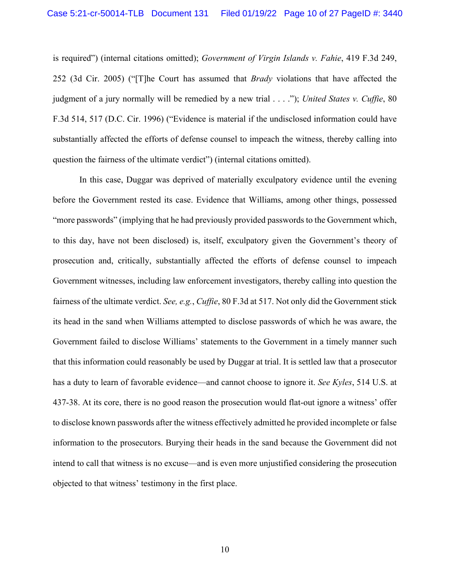is required") (internal citations omitted); *Government of Virgin Islands v. Fahie*, 419 F.3d 249, 252 (3d Cir. 2005) ("[T]he Court has assumed that *Brady* violations that have affected the judgment of a jury normally will be remedied by a new trial . . . ."); *United States v. Cuffie*, 80 F.3d 514, 517 (D.C. Cir. 1996) ("Evidence is material if the undisclosed information could have substantially affected the efforts of defense counsel to impeach the witness, thereby calling into question the fairness of the ultimate verdict") (internal citations omitted).

In this case, Duggar was deprived of materially exculpatory evidence until the evening before the Government rested its case. Evidence that Williams, among other things, possessed "more passwords" (implying that he had previously provided passwords to the Government which, to this day, have not been disclosed) is, itself, exculpatory given the Government's theory of prosecution and, critically, substantially affected the efforts of defense counsel to impeach Government witnesses, including law enforcement investigators, thereby calling into question the fairness of the ultimate verdict. *See, e.g.*, *Cuffie*, 80 F.3d at 517. Not only did the Government stick its head in the sand when Williams attempted to disclose passwords of which he was aware, the Government failed to disclose Williams' statements to the Government in a timely manner such that this information could reasonably be used by Duggar at trial. It is settled law that a prosecutor has a duty to learn of favorable evidence—and cannot choose to ignore it. *See Kyles*, 514 U.S. at 437-38. At its core, there is no good reason the prosecution would flat-out ignore a witness' offer to disclose known passwords after the witness effectively admitted he provided incomplete or false information to the prosecutors. Burying their heads in the sand because the Government did not intend to call that witness is no excuse—and is even more unjustified considering the prosecution objected to that witness' testimony in the first place.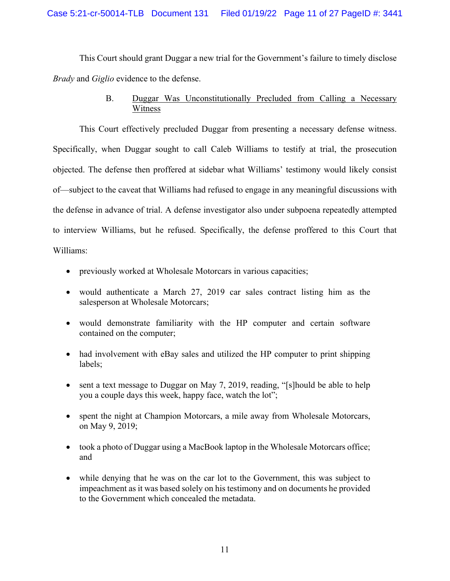This Court should grant Duggar a new trial for the Government's failure to timely disclose *Brady* and *Giglio* evidence to the defense.

# B. Duggar Was Unconstitutionally Precluded from Calling a Necessary Witness

This Court effectively precluded Duggar from presenting a necessary defense witness. Specifically, when Duggar sought to call Caleb Williams to testify at trial, the prosecution objected. The defense then proffered at sidebar what Williams' testimony would likely consist of—subject to the caveat that Williams had refused to engage in any meaningful discussions with the defense in advance of trial. A defense investigator also under subpoena repeatedly attempted to interview Williams, but he refused. Specifically, the defense proffered to this Court that Williams:

- previously worked at Wholesale Motorcars in various capacities;
- would authenticate a March 27, 2019 car sales contract listing him as the salesperson at Wholesale Motorcars;
- would demonstrate familiarity with the HP computer and certain software contained on the computer;
- had involvement with eBay sales and utilized the HP computer to print shipping labels;
- sent a text message to Duggar on May 7, 2019, reading, "[s] hould be able to help you a couple days this week, happy face, watch the lot";
- spent the night at Champion Motorcars, a mile away from Wholesale Motorcars, on May 9, 2019;
- took a photo of Duggar using a MacBook laptop in the Wholesale Motorcars office; and
- while denying that he was on the car lot to the Government, this was subject to impeachment as it was based solely on his testimony and on documents he provided to the Government which concealed the metadata.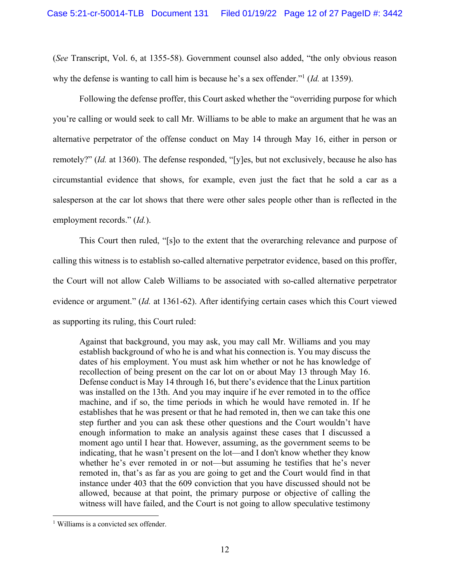(*See* Transcript, Vol. 6, at 1355-58). Government counsel also added, "the only obvious reason why the defense is wanting to call him is because he's a sex offender."1 (*Id.* at 1359).

Following the defense proffer, this Court asked whether the "overriding purpose for which you're calling or would seek to call Mr. Williams to be able to make an argument that he was an alternative perpetrator of the offense conduct on May 14 through May 16, either in person or remotely?" (*Id.* at 1360). The defense responded, "[y]es, but not exclusively, because he also has circumstantial evidence that shows, for example, even just the fact that he sold a car as a salesperson at the car lot shows that there were other sales people other than is reflected in the employment records." (*Id.*).

This Court then ruled, "[s]o to the extent that the overarching relevance and purpose of calling this witness is to establish so-called alternative perpetrator evidence, based on this proffer, the Court will not allow Caleb Williams to be associated with so-called alternative perpetrator evidence or argument." (*Id.* at 1361-62). After identifying certain cases which this Court viewed as supporting its ruling, this Court ruled:

Against that background, you may ask, you may call Mr. Williams and you may establish background of who he is and what his connection is. You may discuss the dates of his employment. You must ask him whether or not he has knowledge of recollection of being present on the car lot on or about May 13 through May 16. Defense conduct is May 14 through 16, but there's evidence that the Linux partition was installed on the 13th. And you may inquire if he ever remoted in to the office machine, and if so, the time periods in which he would have remoted in. If he establishes that he was present or that he had remoted in, then we can take this one step further and you can ask these other questions and the Court wouldn't have enough information to make an analysis against these cases that I discussed a moment ago until I hear that. However, assuming, as the government seems to be indicating, that he wasn't present on the lot—and I don't know whether they know whether he's ever remoted in or not—but assuming he testifies that he's never remoted in, that's as far as you are going to get and the Court would find in that instance under 403 that the 609 conviction that you have discussed should not be allowed, because at that point, the primary purpose or objective of calling the witness will have failed, and the Court is not going to allow speculative testimony

<sup>&</sup>lt;sup>1</sup> Williams is a convicted sex offender.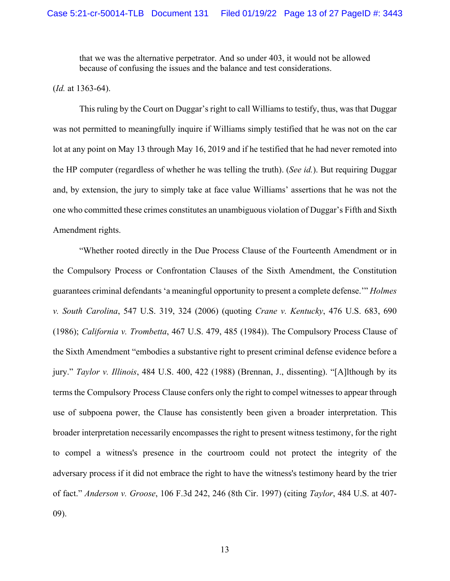that we was the alternative perpetrator. And so under 403, it would not be allowed because of confusing the issues and the balance and test considerations.

(*Id.* at 1363-64).

This ruling by the Court on Duggar's right to call Williams to testify, thus, was that Duggar was not permitted to meaningfully inquire if Williams simply testified that he was not on the car lot at any point on May 13 through May 16, 2019 and if he testified that he had never remoted into the HP computer (regardless of whether he was telling the truth). (*See id.*). But requiring Duggar and, by extension, the jury to simply take at face value Williams' assertions that he was not the one who committed these crimes constitutes an unambiguous violation of Duggar's Fifth and Sixth Amendment rights.

"Whether rooted directly in the Due Process Clause of the Fourteenth Amendment or in the Compulsory Process or Confrontation Clauses of the Sixth Amendment, the Constitution guarantees criminal defendants 'a meaningful opportunity to present a complete defense.'" *Holmes v. South Carolina*, 547 U.S. 319, 324 (2006) (quoting *Crane v. Kentucky*, 476 U.S. 683, 690 (1986); *California v. Trombetta*, 467 U.S. 479, 485 (1984)). The Compulsory Process Clause of the Sixth Amendment "embodies a substantive right to present criminal defense evidence before a jury." *Taylor v. Illinois*, 484 U.S. 400, 422 (1988) (Brennan, J., dissenting). "[A]lthough by its terms the Compulsory Process Clause confers only the right to compel witnesses to appear through use of subpoena power, the Clause has consistently been given a broader interpretation. This broader interpretation necessarily encompasses the right to present witness testimony, for the right to compel a witness's presence in the courtroom could not protect the integrity of the adversary process if it did not embrace the right to have the witness's testimony heard by the trier of fact." *Anderson v. Groose*, 106 F.3d 242, 246 (8th Cir. 1997) (citing *Taylor*, 484 U.S. at 407- 09).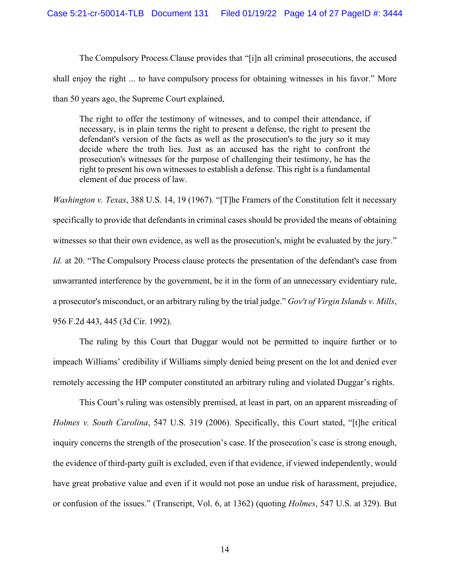The Compulsory Process Clause provides that "[i]n all criminal prosecutions, the accused shall enjoy the right ... to have compulsory process for obtaining witnesses in his favor." More than 50 years ago, the Supreme Court explained,

The right to offer the testimony of witnesses, and to compel their attendance, if necessary, is in plain terms the right to present a defense, the right to present the defendant's version of the facts as well as the prosecution's to the jury so it may decide where the truth lies. Just as an accused has the right to confront the prosecution's witnesses for the purpose of challenging their testimony, he has the right to present his own witnesses to establish a defense. This right is a fundamental element of due process of law.

*Washington v. Texas*, 388 U.S. 14, 19 (1967). "[T]he Framers of the Constitution felt it necessary specifically to provide that defendants in criminal cases should be provided the means of obtaining witnesses so that their own evidence, as well as the prosecution's, might be evaluated by the jury." *Id.* at 20. "The Compulsory Process clause protects the presentation of the defendant's case from unwarranted interference by the government, be it in the form of an unnecessary evidentiary rule, a prosecutor's misconduct, or an arbitrary ruling by the trial judge." *Gov't of Virgin Islands v. Mills*, 956 F.2d 443, 445 (3d Cir. 1992).

The ruling by this Court that Duggar would not be permitted to inquire further or to impeach Williams' credibility if Williams simply denied being present on the lot and denied ever remotely accessing the HP computer constituted an arbitrary ruling and violated Duggar's rights.

This Court's ruling was ostensibly premised, at least in part, on an apparent misreading of *Holmes v. South Carolina*, 547 U.S. 319 (2006). Specifically, this Court stated, "[t]he critical inquiry concerns the strength of the prosecution's case. If the prosecution's case is strong enough, the evidence of third-party guilt is excluded, even if that evidence, if viewed independently, would have great probative value and even if it would not pose an undue risk of harassment, prejudice, or confusion of the issues." (Transcript, Vol. 6, at 1362) (quoting *Holmes*, 547 U.S. at 329). But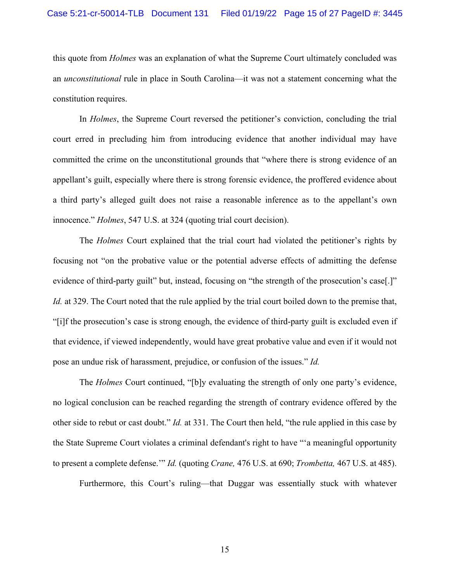this quote from *Holmes* was an explanation of what the Supreme Court ultimately concluded was an *unconstitutional* rule in place in South Carolina—it was not a statement concerning what the constitution requires.

In *Holmes*, the Supreme Court reversed the petitioner's conviction, concluding the trial court erred in precluding him from introducing evidence that another individual may have committed the crime on the unconstitutional grounds that "where there is strong evidence of an appellant's guilt, especially where there is strong forensic evidence, the proffered evidence about a third party's alleged guilt does not raise a reasonable inference as to the appellant's own innocence." *Holmes*, 547 U.S. at 324 (quoting trial court decision).

The *Holmes* Court explained that the trial court had violated the petitioner's rights by focusing not "on the probative value or the potential adverse effects of admitting the defense evidence of third-party guilt" but, instead, focusing on "the strength of the prosecution's case[.]" *Id.* at 329. The Court noted that the rule applied by the trial court boiled down to the premise that, "[i]f the prosecution's case is strong enough, the evidence of third-party guilt is excluded even if that evidence, if viewed independently, would have great probative value and even if it would not pose an undue risk of harassment, prejudice, or confusion of the issues." *Id.*

The *Holmes* Court continued, "[b]y evaluating the strength of only one party's evidence, no logical conclusion can be reached regarding the strength of contrary evidence offered by the other side to rebut or cast doubt." *Id.* at 331. The Court then held, "the rule applied in this case by the State Supreme Court violates a criminal defendant's right to have "'a meaningful opportunity to present a complete defense.'" *Id.* (quoting *Crane,* 476 U.S. at 690; *Trombetta,* 467 U.S. at 485).

Furthermore, this Court's ruling—that Duggar was essentially stuck with whatever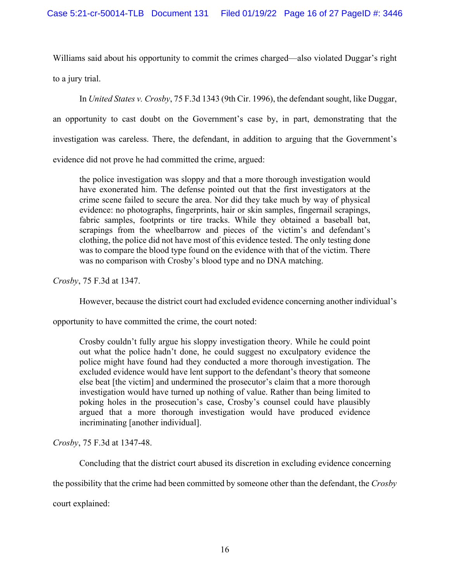Williams said about his opportunity to commit the crimes charged—also violated Duggar's right to a jury trial.

In *United States v. Crosby*, 75 F.3d 1343 (9th Cir. 1996), the defendant sought, like Duggar, an opportunity to cast doubt on the Government's case by, in part, demonstrating that the investigation was careless. There, the defendant, in addition to arguing that the Government's evidence did not prove he had committed the crime, argued:

the police investigation was sloppy and that a more thorough investigation would have exonerated him. The defense pointed out that the first investigators at the crime scene failed to secure the area. Nor did they take much by way of physical evidence: no photographs, fingerprints, hair or skin samples, fingernail scrapings, fabric samples, footprints or tire tracks. While they obtained a baseball bat, scrapings from the wheelbarrow and pieces of the victim's and defendant's clothing, the police did not have most of this evidence tested. The only testing done was to compare the blood type found on the evidence with that of the victim. There was no comparison with Crosby's blood type and no DNA matching.

*Crosby*, 75 F.3d at 1347.

However, because the district court had excluded evidence concerning another individual's

opportunity to have committed the crime, the court noted:

Crosby couldn't fully argue his sloppy investigation theory. While he could point out what the police hadn't done, he could suggest no exculpatory evidence the police might have found had they conducted a more thorough investigation. The excluded evidence would have lent support to the defendant's theory that someone else beat [the victim] and undermined the prosecutor's claim that a more thorough investigation would have turned up nothing of value. Rather than being limited to poking holes in the prosecution's case, Crosby's counsel could have plausibly argued that a more thorough investigation would have produced evidence incriminating [another individual].

*Crosby*, 75 F.3d at 1347-48.

Concluding that the district court abused its discretion in excluding evidence concerning

the possibility that the crime had been committed by someone other than the defendant, the *Crosby* 

court explained: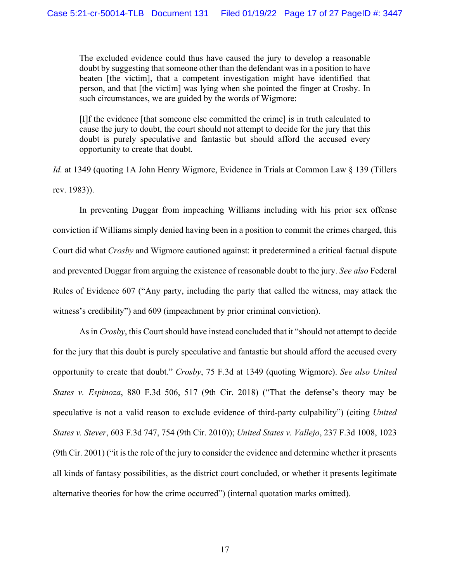The excluded evidence could thus have caused the jury to develop a reasonable doubt by suggesting that someone other than the defendant was in a position to have beaten [the victim], that a competent investigation might have identified that person, and that [the victim] was lying when she pointed the finger at Crosby. In such circumstances, we are guided by the words of Wigmore:

[I]f the evidence [that someone else committed the crime] is in truth calculated to cause the jury to doubt, the court should not attempt to decide for the jury that this doubt is purely speculative and fantastic but should afford the accused every opportunity to create that doubt.

*Id.* at 1349 (quoting 1A John Henry Wigmore, Evidence in Trials at Common Law § 139 (Tillers rev. 1983)).

In preventing Duggar from impeaching Williams including with his prior sex offense conviction if Williams simply denied having been in a position to commit the crimes charged, this Court did what *Crosby* and Wigmore cautioned against: it predetermined a critical factual dispute and prevented Duggar from arguing the existence of reasonable doubt to the jury. *See also* Federal Rules of Evidence 607 ("Any party, including the party that called the witness, may attack the witness's credibility") and 609 (impeachment by prior criminal conviction).

As in *Crosby*, this Court should have instead concluded that it "should not attempt to decide for the jury that this doubt is purely speculative and fantastic but should afford the accused every opportunity to create that doubt." *Crosby*, 75 F.3d at 1349 (quoting Wigmore). *See also United States v. Espinoza*, 880 F.3d 506, 517 (9th Cir. 2018) ("That the defense's theory may be speculative is not a valid reason to exclude evidence of third-party culpability") (citing *United States v. Stever*, 603 F.3d 747, 754 (9th Cir. 2010)); *United States v. Vallejo*, 237 F.3d 1008, 1023 (9th Cir. 2001) ("it is the role of the jury to consider the evidence and determine whether it presents all kinds of fantasy possibilities, as the district court concluded, or whether it presents legitimate alternative theories for how the crime occurred") (internal quotation marks omitted).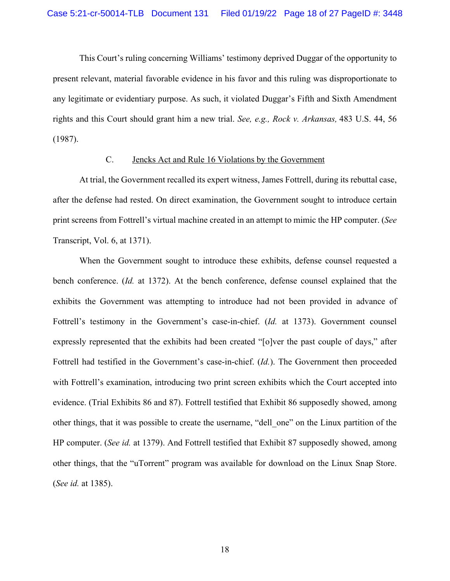This Court's ruling concerning Williams' testimony deprived Duggar of the opportunity to present relevant, material favorable evidence in his favor and this ruling was disproportionate to any legitimate or evidentiary purpose. As such, it violated Duggar's Fifth and Sixth Amendment rights and this Court should grant him a new trial. *See, e.g., Rock v. Arkansas,* 483 U.S. 44, 56 (1987).

#### C. Jencks Act and Rule 16 Violations by the Government

At trial, the Government recalled its expert witness, James Fottrell, during its rebuttal case, after the defense had rested. On direct examination, the Government sought to introduce certain print screens from Fottrell's virtual machine created in an attempt to mimic the HP computer. (*See*  Transcript, Vol. 6, at 1371).

When the Government sought to introduce these exhibits, defense counsel requested a bench conference. (*Id.* at 1372). At the bench conference, defense counsel explained that the exhibits the Government was attempting to introduce had not been provided in advance of Fottrell's testimony in the Government's case-in-chief. (*Id.* at 1373). Government counsel expressly represented that the exhibits had been created "[o]ver the past couple of days," after Fottrell had testified in the Government's case-in-chief. (*Id.*). The Government then proceeded with Fottrell's examination, introducing two print screen exhibits which the Court accepted into evidence. (Trial Exhibits 86 and 87). Fottrell testified that Exhibit 86 supposedly showed, among other things, that it was possible to create the username, "dell\_one" on the Linux partition of the HP computer. (*See id.* at 1379). And Fottrell testified that Exhibit 87 supposedly showed, among other things, that the "uTorrent" program was available for download on the Linux Snap Store. (*See id.* at 1385).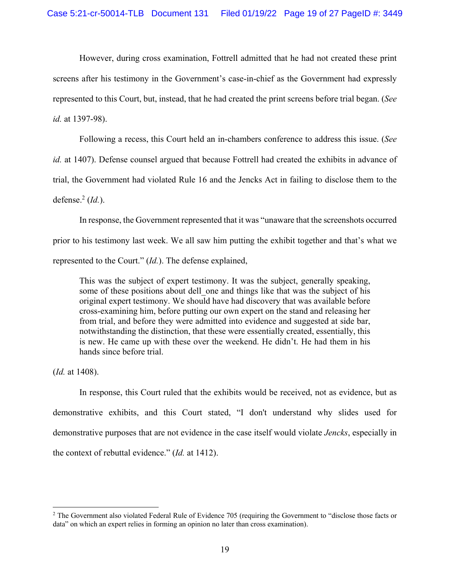However, during cross examination, Fottrell admitted that he had not created these print screens after his testimony in the Government's case-in-chief as the Government had expressly represented to this Court, but, instead, that he had created the print screens before trial began. (*See id.* at 1397-98).

Following a recess, this Court held an in-chambers conference to address this issue. (*See id.* at 1407). Defense counsel argued that because Fottrell had created the exhibits in advance of trial, the Government had violated Rule 16 and the Jencks Act in failing to disclose them to the

defense.2 (*Id.*).

In response, the Government represented that it was "unaware that the screenshots occurred prior to his testimony last week. We all saw him putting the exhibit together and that's what we represented to the Court." (*Id.*). The defense explained,

This was the subject of expert testimony. It was the subject, generally speaking, some of these positions about dell one and things like that was the subject of his original expert testimony. We should have had discovery that was available before cross-examining him, before putting our own expert on the stand and releasing her from trial, and before they were admitted into evidence and suggested at side bar, notwithstanding the distinction, that these were essentially created, essentially, this is new. He came up with these over the weekend. He didn't. He had them in his hands since before trial.

(*Id.* at 1408).

In response, this Court ruled that the exhibits would be received, not as evidence, but as demonstrative exhibits, and this Court stated, "I don't understand why slides used for demonstrative purposes that are not evidence in the case itself would violate *Jencks*, especially in the context of rebuttal evidence." (*Id.* at 1412).

<sup>&</sup>lt;sup>2</sup> The Government also violated Federal Rule of Evidence 705 (requiring the Government to "disclose those facts or data" on which an expert relies in forming an opinion no later than cross examination).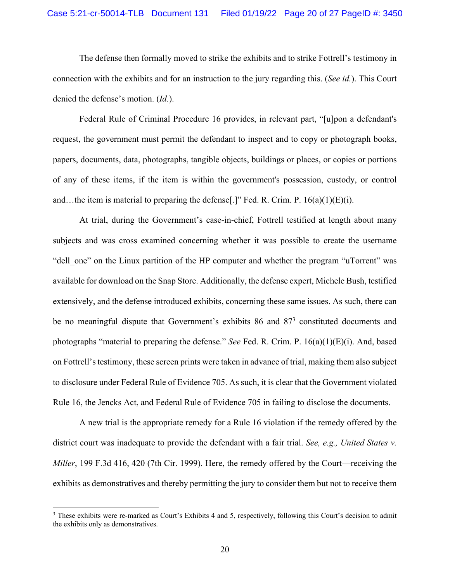The defense then formally moved to strike the exhibits and to strike Fottrell's testimony in connection with the exhibits and for an instruction to the jury regarding this. (*See id.*). This Court denied the defense's motion. (*Id.*).

Federal Rule of Criminal Procedure 16 provides, in relevant part, "[u]pon a defendant's request, the government must permit the defendant to inspect and to copy or photograph books, papers, documents, data, photographs, tangible objects, buildings or places, or copies or portions of any of these items, if the item is within the government's possession, custody, or control and…the item is material to preparing the defense[.]" Fed. R. Crim. P.  $16(a)(1)(E)(i)$ .

At trial, during the Government's case-in-chief, Fottrell testified at length about many subjects and was cross examined concerning whether it was possible to create the username "dell one" on the Linux partition of the HP computer and whether the program "uTorrent" was available for download on the Snap Store. Additionally, the defense expert, Michele Bush, testified extensively, and the defense introduced exhibits, concerning these same issues. As such, there can be no meaningful dispute that Government's exhibits 86 and 87<sup>3</sup> constituted documents and photographs "material to preparing the defense." *See* Fed. R. Crim. P. 16(a)(1)(E)(i). And, based on Fottrell's testimony, these screen prints were taken in advance of trial, making them also subject to disclosure under Federal Rule of Evidence 705. As such, it is clear that the Government violated Rule 16, the Jencks Act, and Federal Rule of Evidence 705 in failing to disclose the documents.

A new trial is the appropriate remedy for a Rule 16 violation if the remedy offered by the district court was inadequate to provide the defendant with a fair trial. *See, e.g., United States v. Miller*, 199 F.3d 416, 420 (7th Cir. 1999). Here, the remedy offered by the Court—receiving the exhibits as demonstratives and thereby permitting the jury to consider them but not to receive them

<sup>&</sup>lt;sup>3</sup> These exhibits were re-marked as Court's Exhibits 4 and 5, respectively, following this Court's decision to admit the exhibits only as demonstratives.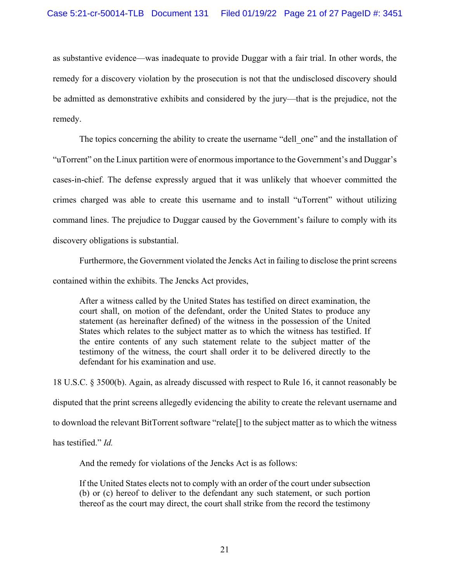as substantive evidence—was inadequate to provide Duggar with a fair trial. In other words, the remedy for a discovery violation by the prosecution is not that the undisclosed discovery should be admitted as demonstrative exhibits and considered by the jury—that is the prejudice, not the remedy.

The topics concerning the ability to create the username "dell one" and the installation of "uTorrent" on the Linux partition were of enormous importance to the Government's and Duggar's cases-in-chief. The defense expressly argued that it was unlikely that whoever committed the crimes charged was able to create this username and to install "uTorrent" without utilizing command lines. The prejudice to Duggar caused by the Government's failure to comply with its discovery obligations is substantial.

Furthermore, the Government violated the Jencks Act in failing to disclose the print screens contained within the exhibits. The Jencks Act provides,

After a witness called by the United States has testified on direct examination, the court shall, on motion of the defendant, order the United States to produce any statement (as hereinafter defined) of the witness in the possession of the United States which relates to the subject matter as to which the witness has testified. If the entire contents of any such statement relate to the subject matter of the testimony of the witness, the court shall order it to be delivered directly to the defendant for his examination and use.

18 U.S.C. § 3500(b). Again, as already discussed with respect to Rule 16, it cannot reasonably be disputed that the print screens allegedly evidencing the ability to create the relevant username and to download the relevant BitTorrent software "relate[] to the subject matter as to which the witness

has testified." *Id.*

And the remedy for violations of the Jencks Act is as follows:

If the United States elects not to comply with an order of the court under subsection (b) or (c) hereof to deliver to the defendant any such statement, or such portion thereof as the court may direct, the court shall strike from the record the testimony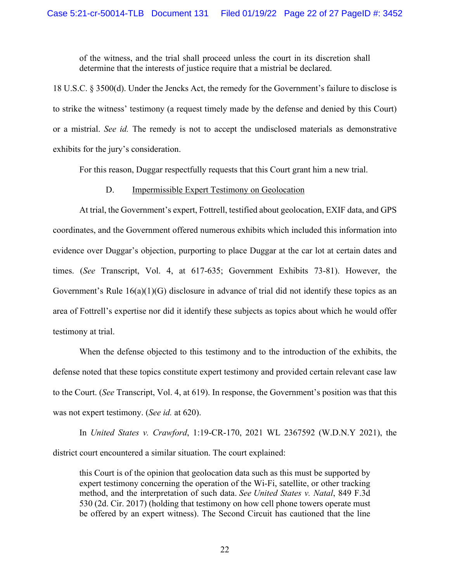of the witness, and the trial shall proceed unless the court in its discretion shall determine that the interests of justice require that a mistrial be declared.

18 U.S.C. § 3500(d). Under the Jencks Act, the remedy for the Government's failure to disclose is to strike the witness' testimony (a request timely made by the defense and denied by this Court) or a mistrial. *See id.* The remedy is not to accept the undisclosed materials as demonstrative exhibits for the jury's consideration.

For this reason, Duggar respectfully requests that this Court grant him a new trial.

#### D. Impermissible Expert Testimony on Geolocation

At trial, the Government's expert, Fottrell, testified about geolocation, EXIF data, and GPS coordinates, and the Government offered numerous exhibits which included this information into evidence over Duggar's objection, purporting to place Duggar at the car lot at certain dates and times. (*See* Transcript, Vol. 4, at 617-635; Government Exhibits 73-81). However, the Government's Rule 16(a)(1)(G) disclosure in advance of trial did not identify these topics as an area of Fottrell's expertise nor did it identify these subjects as topics about which he would offer testimony at trial.

When the defense objected to this testimony and to the introduction of the exhibits, the defense noted that these topics constitute expert testimony and provided certain relevant case law to the Court. (*See* Transcript, Vol. 4, at 619). In response, the Government's position was that this was not expert testimony. (*See id.* at 620).

In *United States v. Crawford*, 1:19-CR-170, 2021 WL 2367592 (W.D.N.Y 2021), the district court encountered a similar situation. The court explained:

this Court is of the opinion that geolocation data such as this must be supported by expert testimony concerning the operation of the Wi-Fi, satellite, or other tracking method, and the interpretation of such data. *See United States v. Natal*, 849 F.3d 530 (2d. Cir. 2017) (holding that testimony on how cell phone towers operate must be offered by an expert witness). The Second Circuit has cautioned that the line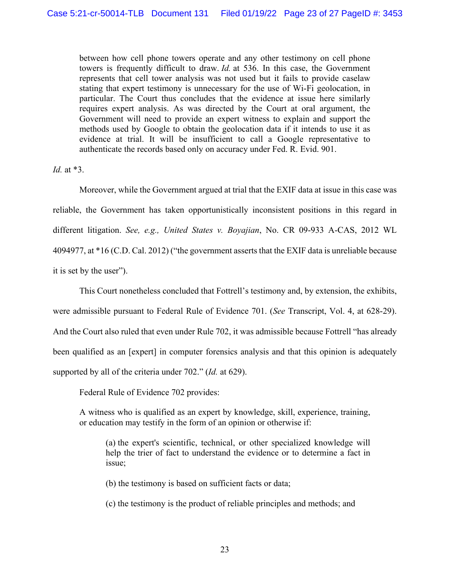between how cell phone towers operate and any other testimony on cell phone towers is frequently difficult to draw. *Id.* at 536. In this case, the Government represents that cell tower analysis was not used but it fails to provide caselaw stating that expert testimony is unnecessary for the use of Wi-Fi geolocation, in particular. The Court thus concludes that the evidence at issue here similarly requires expert analysis. As was directed by the Court at oral argument, the Government will need to provide an expert witness to explain and support the methods used by Google to obtain the geolocation data if it intends to use it as evidence at trial. It will be insufficient to call a Google representative to authenticate the records based only on accuracy under Fed. R. Evid. 901.

*Id.* at \*3.

Moreover, while the Government argued at trial that the EXIF data at issue in this case was reliable, the Government has taken opportunistically inconsistent positions in this regard in different litigation. *See, e.g., United States v. Boyajian*, No. CR 09-933 A-CAS, 2012 WL 4094977, at \*16 (C.D. Cal. 2012) ("the government asserts that the EXIF data is unreliable because it is set by the user").

This Court nonetheless concluded that Fottrell's testimony and, by extension, the exhibits, were admissible pursuant to Federal Rule of Evidence 701. (*See* Transcript, Vol. 4, at 628-29). And the Court also ruled that even under Rule 702, it was admissible because Fottrell "has already been qualified as an [expert] in computer forensics analysis and that this opinion is adequately supported by all of the criteria under 702." (*Id.* at 629).

Federal Rule of Evidence 702 provides:

A witness who is qualified as an expert by knowledge, skill, experience, training, or education may testify in the form of an opinion or otherwise if:

(a) the expert's scientific, technical, or other specialized knowledge will help the trier of fact to understand the evidence or to determine a fact in issue;

(b) the testimony is based on sufficient facts or data;

(c) the testimony is the product of reliable principles and methods; and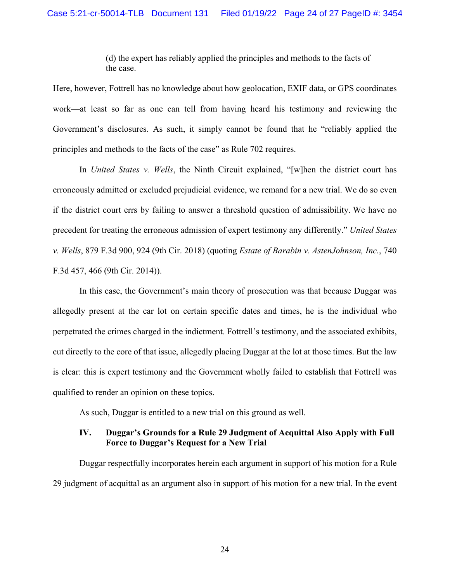(d) the expert has reliably applied the principles and methods to the facts of the case.

Here, however, Fottrell has no knowledge about how geolocation, EXIF data, or GPS coordinates work—at least so far as one can tell from having heard his testimony and reviewing the Government's disclosures. As such, it simply cannot be found that he "reliably applied the principles and methods to the facts of the case" as Rule 702 requires.

In *United States v. Wells*, the Ninth Circuit explained, "[w]hen the district court has erroneously admitted or excluded prejudicial evidence, we remand for a new trial. We do so even if the district court errs by failing to answer a threshold question of admissibility. We have no precedent for treating the erroneous admission of expert testimony any differently." *United States v. Wells*, 879 F.3d 900, 924 (9th Cir. 2018) (quoting *Estate of Barabin v. AstenJohnson, Inc.*, 740 F.3d 457, 466 (9th Cir. 2014)).

In this case, the Government's main theory of prosecution was that because Duggar was allegedly present at the car lot on certain specific dates and times, he is the individual who perpetrated the crimes charged in the indictment. Fottrell's testimony, and the associated exhibits, cut directly to the core of that issue, allegedly placing Duggar at the lot at those times. But the law is clear: this is expert testimony and the Government wholly failed to establish that Fottrell was qualified to render an opinion on these topics.

As such, Duggar is entitled to a new trial on this ground as well.

## **IV. Duggar's Grounds for a Rule 29 Judgment of Acquittal Also Apply with Full Force to Duggar's Request for a New Trial**

Duggar respectfully incorporates herein each argument in support of his motion for a Rule 29 judgment of acquittal as an argument also in support of his motion for a new trial. In the event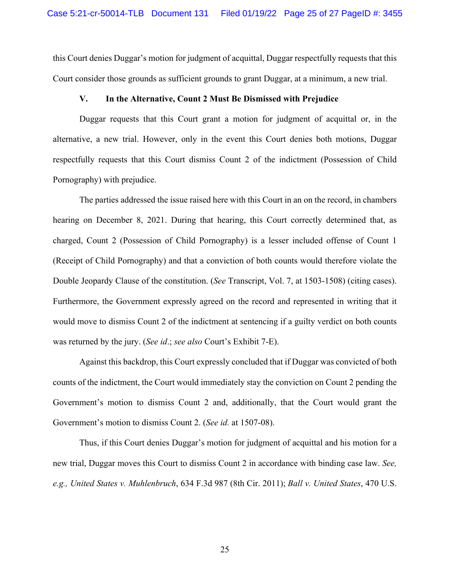this Court denies Duggar's motion for judgment of acquittal, Duggar respectfully requests that this Court consider those grounds as sufficient grounds to grant Duggar, at a minimum, a new trial.

#### **V. In the Alternative, Count 2 Must Be Dismissed with Prejudice**

Duggar requests that this Court grant a motion for judgment of acquittal or, in the alternative, a new trial. However, only in the event this Court denies both motions, Duggar respectfully requests that this Court dismiss Count 2 of the indictment (Possession of Child Pornography) with prejudice.

The parties addressed the issue raised here with this Court in an on the record, in chambers hearing on December 8, 2021. During that hearing, this Court correctly determined that, as charged, Count 2 (Possession of Child Pornography) is a lesser included offense of Count 1 (Receipt of Child Pornography) and that a conviction of both counts would therefore violate the Double Jeopardy Clause of the constitution. (*See* Transcript, Vol. 7, at 1503-1508) (citing cases). Furthermore, the Government expressly agreed on the record and represented in writing that it would move to dismiss Count 2 of the indictment at sentencing if a guilty verdict on both counts was returned by the jury. (*See id*.; *see also* Court's Exhibit 7-E).

Against this backdrop, this Court expressly concluded that if Duggar was convicted of both counts of the indictment, the Court would immediately stay the conviction on Count 2 pending the Government's motion to dismiss Count 2 and, additionally, that the Court would grant the Government's motion to dismiss Count 2. (*See id.* at 1507-08).

Thus, if this Court denies Duggar's motion for judgment of acquittal and his motion for a new trial, Duggar moves this Court to dismiss Count 2 in accordance with binding case law. *See, e.g., United States v. Muhlenbruch*, 634 F.3d 987 (8th Cir. 2011); *Ball v. United States*, 470 U.S.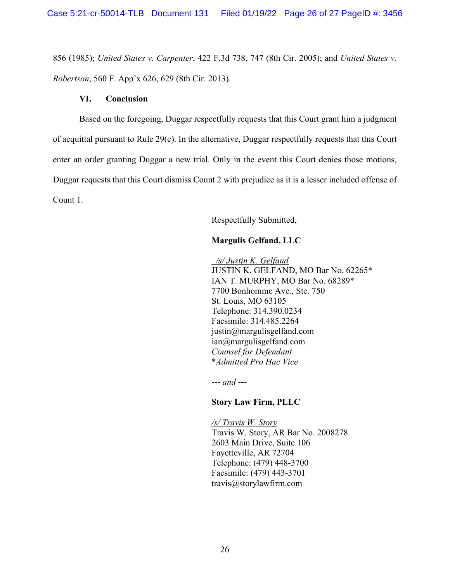856 (1985); *United States v. Carpenter*, 422 F.3d 738, 747 (8th Cir. 2005); and *United States v. Robertson*, 560 F. App'x 626, 629 (8th Cir. 2013).

#### **VI. Conclusion**

Based on the foregoing, Duggar respectfully requests that this Court grant him a judgment of acquittal pursuant to Rule 29(c). In the alternative, Duggar respectfully requests that this Court enter an order granting Duggar a new trial. Only in the event this Court denies those motions, Duggar requests that this Court dismiss Count 2 with prejudice as it is a lesser included offense of Count 1.

Respectfully Submitted,

# **Margulis Gelfand, LLC**

*/s/ Justin K. Gelfand*  JUSTIN K. GELFAND, MO Bar No. 62265\* IAN T. MURPHY, MO Bar No. 68289\* 7700 Bonhomme Ave., Ste. 750 St. Louis, MO 63105 Telephone: 314.390.0234 Facsimile: 314.485.2264 justin@margulisgelfand.com ian@margulisgelfand.com *Counsel for Defendant* \**Admitted Pro Hac Vice*

--- *and* ---

### **Story Law Firm, PLLC**

*/s/ Travis W. Story* Travis W. Story, AR Bar No. 2008278 2603 Main Drive, Suite 106 Fayetteville, AR 72704 Telephone: (479) 448-3700 Facsimile: (479) 443-3701 travis@storylawfirm.com